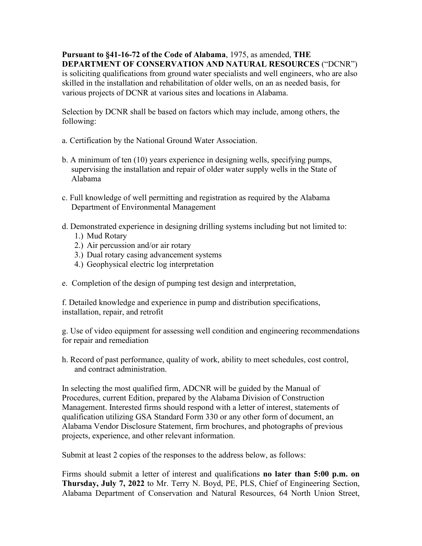**Pursuant to §41-16-72 of the Code of Alabama**, 1975, as amended, **THE DEPARTMENT OF CONSERVATION AND NATURAL RESOURCES** ("DCNR") is soliciting qualifications from ground water specialists and well engineers, who are also skilled in the installation and rehabilitation of older wells, on an as needed basis, for various projects of DCNR at various sites and locations in Alabama.

Selection by DCNR shall be based on factors which may include, among others, the following:

- a. Certification by the National Ground Water Association.
- b. A minimum of ten (10) years experience in designing wells, specifying pumps, supervising the installation and repair of older water supply wells in the State of Alabama
- c. Full knowledge of well permitting and registration as required by the Alabama Department of Environmental Management
- d. Demonstrated experience in designing drilling systems including but not limited to:
	- 1.) Mud Rotary
	- 2.) Air percussion and/or air rotary
	- 3.) Dual rotary casing advancement systems
	- 4.) Geophysical electric log interpretation
- e. Completion of the design of pumping test design and interpretation,

f. Detailed knowledge and experience in pump and distribution specifications, installation, repair, and retrofit

g. Use of video equipment for assessing well condition and engineering recommendations for repair and remediation

h. Record of past performance, quality of work, ability to meet schedules, cost control, and contract administration.

In selecting the most qualified firm, ADCNR will be guided by the Manual of Procedures, current Edition, prepared by the Alabama Division of Construction Management. Interested firms should respond with a letter of interest, statements of qualification utilizing GSA Standard Form 330 or any other form of document, an Alabama Vendor Disclosure Statement, firm brochures, and photographs of previous projects, experience, and other relevant information.

Submit at least 2 copies of the responses to the address below, as follows:

Firms should submit a letter of interest and qualifications **no later than 5:00 p.m. on Thursday, July 7, 2022** to Mr. Terry N. Boyd, PE, PLS, Chief of Engineering Section, Alabama Department of Conservation and Natural Resources, 64 North Union Street,